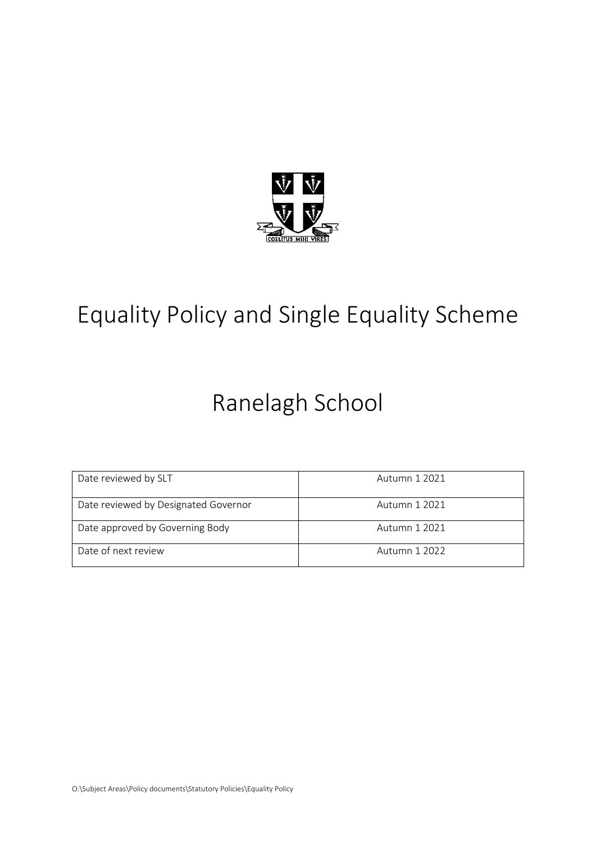

# Equality Policy and Single Equality Scheme

# Ranelagh School

| Date reviewed by SLT                 | Autumn 1 2021 |
|--------------------------------------|---------------|
| Date reviewed by Designated Governor | Autumn 1 2021 |
| Date approved by Governing Body      | Autumn 1 2021 |
| Date of next review                  | Autumn 1 2022 |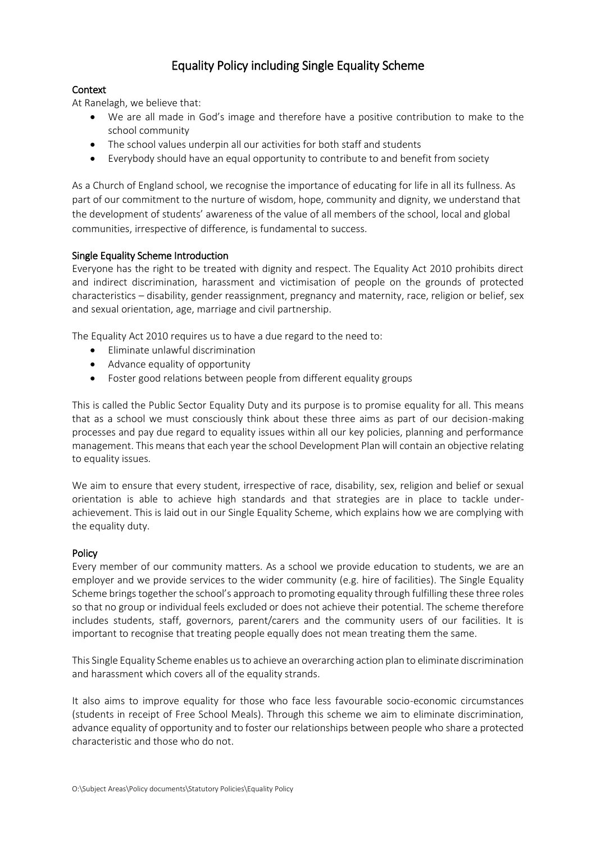# Equality Policy including Single Equality Scheme

# Context

At Ranelagh, we believe that:

- We are all made in God's image and therefore have a positive contribution to make to the school community
- The school values underpin all our activities for both staff and students
- Everybody should have an equal opportunity to contribute to and benefit from society

As a Church of England school, we recognise the importance of educating for life in all its fullness. As part of our commitment to the nurture of wisdom, hope, community and dignity, we understand that the development of students' awareness of the value of all members of the school, local and global communities, irrespective of difference, is fundamental to success.

# Single Equality Scheme Introduction

Everyone has the right to be treated with dignity and respect. The Equality Act 2010 prohibits direct and indirect discrimination, harassment and victimisation of people on the grounds of protected characteristics – disability, gender reassignment, pregnancy and maternity, race, religion or belief, sex and sexual orientation, age, marriage and civil partnership.

The Equality Act 2010 requires us to have a due regard to the need to:

- Eliminate unlawful discrimination
- Advance equality of opportunity
- Foster good relations between people from different equality groups

This is called the Public Sector Equality Duty and its purpose is to promise equality for all. This means that as a school we must consciously think about these three aims as part of our decision-making processes and pay due regard to equality issues within all our key policies, planning and performance management. This means that each year the school Development Plan will contain an objective relating to equality issues.

We aim to ensure that every student, irrespective of race, disability, sex, religion and belief or sexual orientation is able to achieve high standards and that strategies are in place to tackle underachievement. This is laid out in our Single Equality Scheme, which explains how we are complying with the equality duty.

# Policy

Every member of our community matters. As a school we provide education to students, we are an employer and we provide services to the wider community (e.g. hire of facilities). The Single Equality Scheme brings together the school's approach to promoting equality through fulfilling these three roles so that no group or individual feels excluded or does not achieve their potential. The scheme therefore includes students, staff, governors, parent/carers and the community users of our facilities. It is important to recognise that treating people equally does not mean treating them the same.

This Single Equality Scheme enables us to achieve an overarching action plan to eliminate discrimination and harassment which covers all of the equality strands.

It also aims to improve equality for those who face less favourable socio-economic circumstances (students in receipt of Free School Meals). Through this scheme we aim to eliminate discrimination, advance equality of opportunity and to foster our relationships between people who share a protected characteristic and those who do not.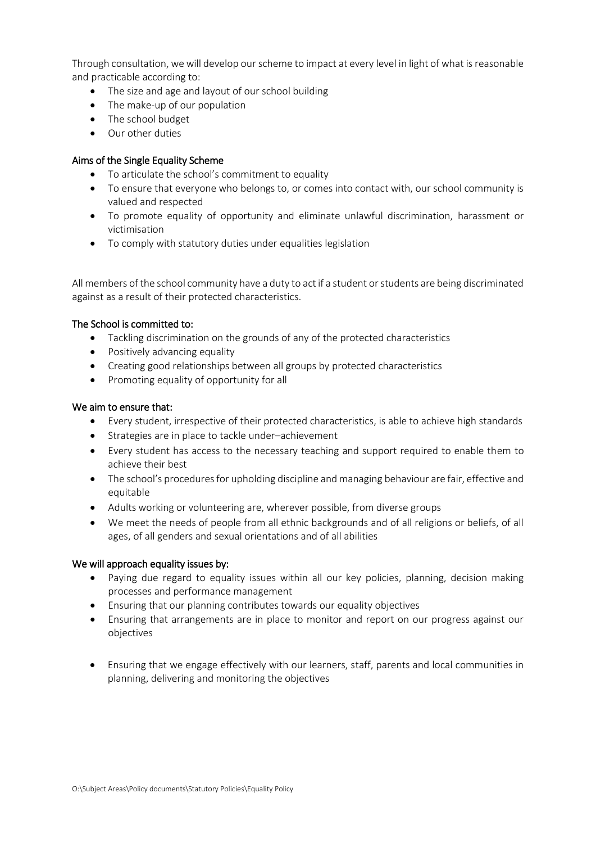Through consultation, we will develop our scheme to impact at every level in light of what is reasonable and practicable according to:

- The size and age and layout of our school building
- The make-up of our population
- The school budget
- Our other duties

# Aims of the Single Equality Scheme

- To articulate the school's commitment to equality
- To ensure that everyone who belongs to, or comes into contact with, our school community is valued and respected
- To promote equality of opportunity and eliminate unlawful discrimination, harassment or victimisation
- To comply with statutory duties under equalities legislation

All members of the school community have a duty to act if a student or students are being discriminated against as a result of their protected characteristics.

# The School is committed to:

- Tackling discrimination on the grounds of any of the protected characteristics
- Positively advancing equality
- Creating good relationships between all groups by protected characteristics
- Promoting equality of opportunity for all

# We aim to ensure that:

- Every student, irrespective of their protected characteristics, is able to achieve high standards
- Strategies are in place to tackle under–achievement
- Every student has access to the necessary teaching and support required to enable them to achieve their best
- The school's procedures for upholding discipline and managing behaviour are fair, effective and equitable
- Adults working or volunteering are, wherever possible, from diverse groups
- We meet the needs of people from all ethnic backgrounds and of all religions or beliefs, of all ages, of all genders and sexual orientations and of all abilities

# We will approach equality issues by:

- Paying due regard to equality issues within all our key policies, planning, decision making processes and performance management
- Ensuring that our planning contributes towards our equality objectives
- Ensuring that arrangements are in place to monitor and report on our progress against our objectives
- Ensuring that we engage effectively with our learners, staff, parents and local communities in planning, delivering and monitoring the objectives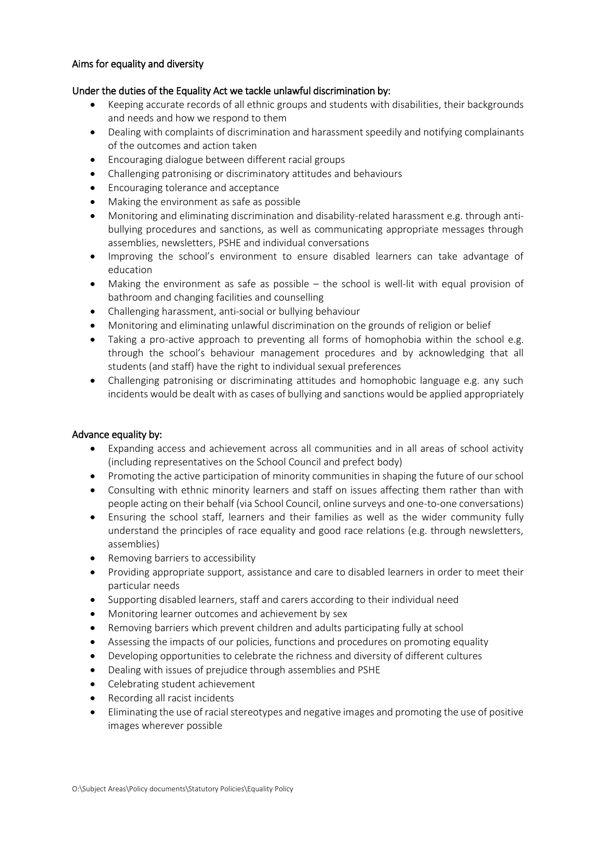#### Aims for equality and diversity

#### Under the duties of the Equality Act we tackle unlawful discrimination by:

- Keeping accurate records of all ethnic groups and students with disabilities, their backgrounds and needs and how we respond to them
- Dealing with complaints of discrimination and harassment speedily and notifying complainants of the outcomes and action taken
- Encouraging dialogue between different racial groups
- Challenging patronising or discriminatory attitudes and behaviours
- Encouraging tolerance and acceptance
- Making the environment as safe as possible
- Monitoring and eliminating discrimination and disability-related harassment e.g. through antibullying procedures and sanctions, as well as communicating appropriate messages through assemblies, newsletters, PSHE and individual conversations
- Improving the school's environment to ensure disabled learners can take advantage of education
- Making the environment as safe as possible the school is well-lit with equal provision of bathroom and changing facilities and counselling
- Challenging harassment, anti-social or bullying behaviour
- Monitoring and eliminating unlawful discrimination on the grounds of religion or belief
- Taking a pro-active approach to preventing all forms of homophobia within the school e.g. through the school's behaviour management procedures and by acknowledging that all students (and staff) have the right to individual sexual preferences
- Challenging patronising or discriminating attitudes and homophobic language e.g. any such incidents would be dealt with as cases of bullying and sanctions would be applied appropriately

#### Advance equality by:

- Expanding access and achievement across all communities and in all areas of school activity (including representatives on the School Council and prefect body)
- Promoting the active participation of minority communities in shaping the future of our school
- Consulting with ethnic minority learners and staff on issues affecting them rather than with people acting on their behalf (via School Council, online surveys and one-to-one conversations)
- Ensuring the school staff, learners and their families as well as the wider community fully understand the principles of race equality and good race relations (e.g. through newsletters, assemblies)
- Removing barriers to accessibility
- Providing appropriate support, assistance and care to disabled learners in order to meet their particular needs
- Supporting disabled learners, staff and carers according to their individual need
- Monitoring learner outcomes and achievement by sex
- Removing barriers which prevent children and adults participating fully at school
- Assessing the impacts of our policies, functions and procedures on promoting equality
- Developing opportunities to celebrate the richness and diversity of different cultures
- Dealing with issues of prejudice through assemblies and PSHE
- Celebrating student achievement
- Recording all racist incidents
- Eliminating the use of racial stereotypes and negative images and promoting the use of positive images wherever possible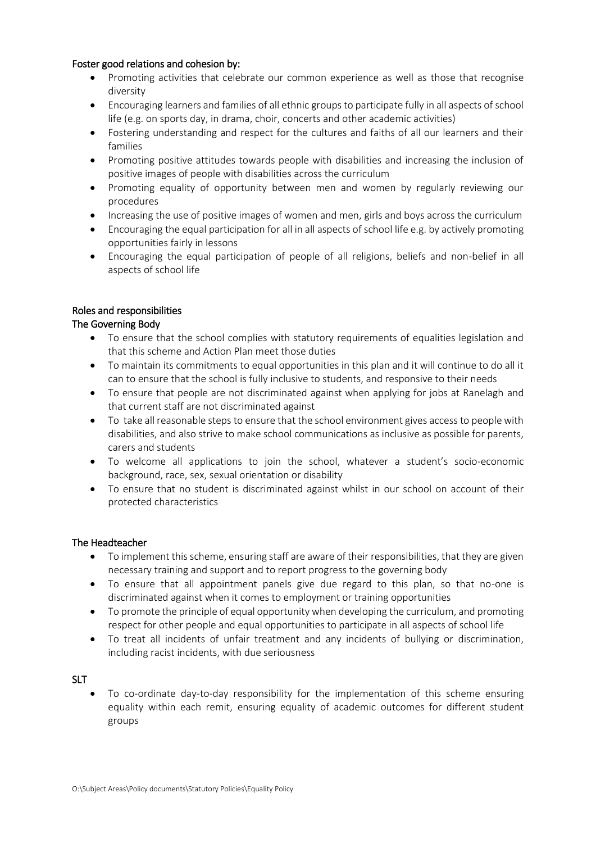#### Foster good relations and cohesion by:

- Promoting activities that celebrate our common experience as well as those that recognise diversity
- Encouraging learners and families of all ethnic groups to participate fully in all aspects of school life (e.g. on sports day, in drama, choir, concerts and other academic activities)
- Fostering understanding and respect for the cultures and faiths of all our learners and their families
- Promoting positive attitudes towards people with disabilities and increasing the inclusion of positive images of people with disabilities across the curriculum
- Promoting equality of opportunity between men and women by regularly reviewing our procedures
- Increasing the use of positive images of women and men, girls and boys across the curriculum
- Encouraging the equal participation for all in all aspects of school life e.g. by actively promoting opportunities fairly in lessons
- Encouraging the equal participation of people of all religions, beliefs and non-belief in all aspects of school life

#### Roles and responsibilities

#### The Governing Body

- To ensure that the school complies with statutory requirements of equalities legislation and that this scheme and Action Plan meet those duties
- To maintain its commitments to equal opportunities in this plan and it will continue to do all it can to ensure that the school is fully inclusive to students, and responsive to their needs
- To ensure that people are not discriminated against when applying for jobs at Ranelagh and that current staff are not discriminated against
- To take all reasonable steps to ensure that the school environment gives access to people with disabilities, and also strive to make school communications as inclusive as possible for parents, carers and students
- To welcome all applications to join the school, whatever a student's socio-economic background, race, sex, sexual orientation or disability
- To ensure that no student is discriminated against whilst in our school on account of their protected characteristics

#### The Headteacher

- To implement this scheme, ensuring staff are aware of their responsibilities, that they are given necessary training and support and to report progress to the governing body
- To ensure that all appointment panels give due regard to this plan, so that no-one is discriminated against when it comes to employment or training opportunities
- To promote the principle of equal opportunity when developing the curriculum, and promoting respect for other people and equal opportunities to participate in all aspects of school life
- To treat all incidents of unfair treatment and any incidents of bullying or discrimination, including racist incidents, with due seriousness

#### SLT

• To co-ordinate day-to-day responsibility for the implementation of this scheme ensuring equality within each remit, ensuring equality of academic outcomes for different student groups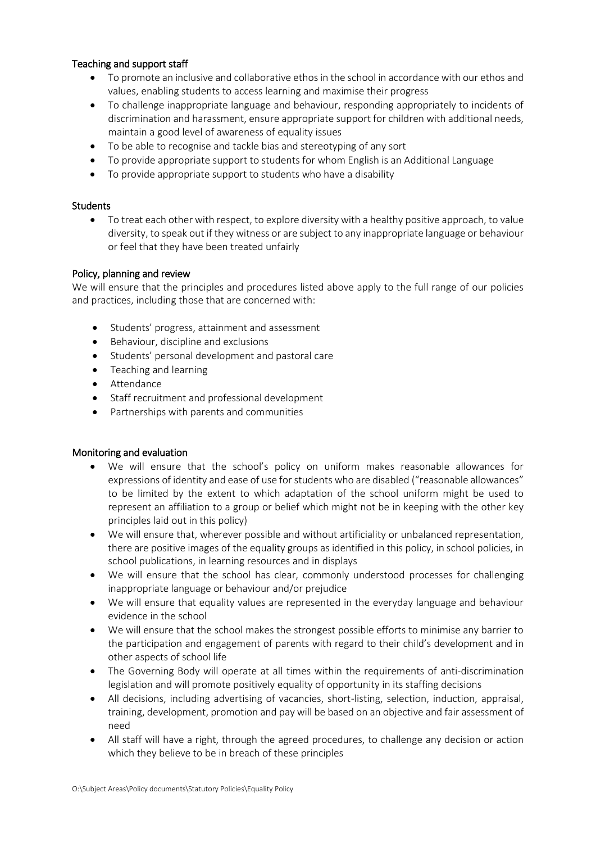# Teaching and support staff

- To promote an inclusive and collaborative ethos in the school in accordance with our ethos and values, enabling students to access learning and maximise their progress
- To challenge inappropriate language and behaviour, responding appropriately to incidents of discrimination and harassment, ensure appropriate support for children with additional needs, maintain a good level of awareness of equality issues
- To be able to recognise and tackle bias and stereotyping of any sort
- To provide appropriate support to students for whom English is an Additional Language
- To provide appropriate support to students who have a disability

#### **Students**

• To treat each other with respect, to explore diversity with a healthy positive approach, to value diversity, to speak out if they witness or are subject to any inappropriate language or behaviour or feel that they have been treated unfairly

#### Policy, planning and review

We will ensure that the principles and procedures listed above apply to the full range of our policies and practices, including those that are concerned with:

- Students' progress, attainment and assessment
- Behaviour, discipline and exclusions
- Students' personal development and pastoral care
- Teaching and learning
- Attendance
- Staff recruitment and professional development
- Partnerships with parents and communities

# Monitoring and evaluation

- We will ensure that the school's policy on uniform makes reasonable allowances for expressions of identity and ease of use for students who are disabled ("reasonable allowances" to be limited by the extent to which adaptation of the school uniform might be used to represent an affiliation to a group or belief which might not be in keeping with the other key principles laid out in this policy)
- We will ensure that, wherever possible and without artificiality or unbalanced representation, there are positive images of the equality groups as identified in this policy, in school policies, in school publications, in learning resources and in displays
- We will ensure that the school has clear, commonly understood processes for challenging inappropriate language or behaviour and/or prejudice
- We will ensure that equality values are represented in the everyday language and behaviour evidence in the school
- We will ensure that the school makes the strongest possible efforts to minimise any barrier to the participation and engagement of parents with regard to their child's development and in other aspects of school life
- The Governing Body will operate at all times within the requirements of anti-discrimination legislation and will promote positively equality of opportunity in its staffing decisions
- All decisions, including advertising of vacancies, short-listing, selection, induction, appraisal, training, development, promotion and pay will be based on an objective and fair assessment of need
- All staff will have a right, through the agreed procedures, to challenge any decision or action which they believe to be in breach of these principles